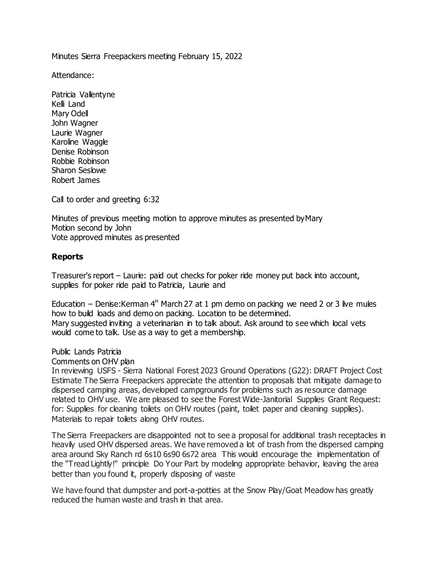Minutes Sierra Freepackers meeting February 15, 2022

Attendance:

Patricia Vallentyne Kelli Land Mary Odell John Wagner Laurie Wagner Karoline Waggle Denise Robinson Robbie Robinson Sharon Seslowe Robert James

Call to order and greeting 6:32

Minutes of previous meeting motion to approve minutes as presented byMary Motion second by John Vote approved minutes as presented

## **Reports**

Treasurer's report – Laurie: paid out checks for poker ride money put back into account, supplies for poker ride paid to Patricia, Laurie and

Education – Denise: Kerman  $4<sup>H</sup>$  March 27 at 1 pm demo on packing we need 2 or 3 live mules how to build loads and demo on packing. Location to be determined. Mary suggested inviting a veterinarian in to talk about. Ask around to see which local vets would come to talk. Use as a way to get a membership.

Public Lands Patricia

Comments on OHV plan

In reviewing USFS - Sierra National Forest 2023 Ground Operations (G22): DRAFT Project Cost Estimate The Sierra Freepackers appreciate the attention to proposals that mitigate damage to dispersed camping areas, developed campgrounds for problems such as resource damage related to OHV use. We are pleased to see the Forest Wide-Janitorial Supplies Grant Request: for: Supplies for cleaning toilets on OHV routes (paint, toilet paper and cleaning supplies). Materials to repair toilets along OHV routes.

The Sierra Freepackers are disappointed not to see a proposal for additional trash receptacles in heavily used OHV dispersed areas. We have removed a lot of trash from the dispersed camping area around Sky Ranch rd 6s10 6s90 6s72 area This would encourage the implementation of the "Tread Lightly!" principle Do Your Part by modeling appropriate behavior, leaving the area better than you found it, properly disposing of waste

We have found that dumpster and port-a-potties at the Snow Play/Goat Meadow has greatly reduced the human waste and trash in that area.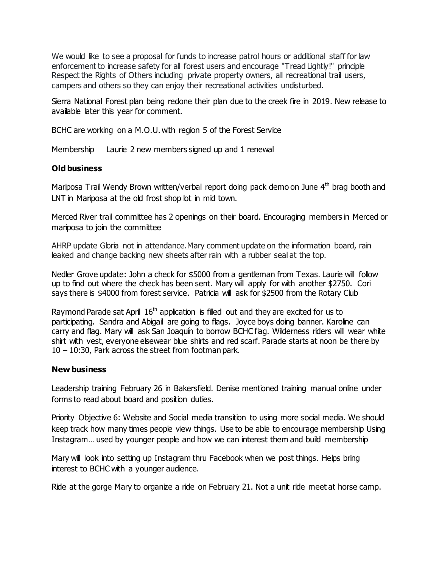We would like to see a proposal for funds to increase patrol hours or additional staff for law enforcement to increase safety for all forest users and encourage "Tread Lightly!" principle Respect the Rights of Others including private property owners, all recreational trail users, campers and others so they can enjoy their recreational activities undisturbed.

Sierra National Forest plan being redone their plan due to the creek fire in 2019. New release to available later this year for comment.

BCHC are working on a M.O.U. with region 5 of the Forest Service

Membership Laurie 2 new members signed up and 1 renewal

## **Old business**

Mariposa Trail Wendy Brown written/verbal report doing pack demo on June  $4<sup>th</sup>$  brag booth and LNT in Mariposa at the old frost shop lot in mid town.

Merced River trail committee has 2 openings on their board. Encouraging members in Merced or mariposa to join the committee

AHRP update Gloria not in attendance.Mary comment update on the information board, rain leaked and change backing new sheets after rain with a rubber seal at the top.

Nedler Grove update: John a check for \$5000 from a gentleman from Texas. Laurie will follow up to find out where the check has been sent. Mary will apply for with another \$2750. Cori says there is \$4000 from forest service. Patricia will ask for \$2500 from the Rotary Club

Raymond Parade sat April  $16<sup>th</sup>$  application is filled out and they are excited for us to participating. Sandra and Abigail are going to flags. Joyce boys doing banner. Karoline can carry and flag. Mary will ask San Joaquín to borrow BCHC flag. Wilderness riders will wear white shirt with vest, everyone elsewear blue shirts and red scarf. Parade starts at noon be there by 10 – 10:30, Park across the street from footman park.

## **New business**

Leadership training February 26 in Bakersfield. Denise mentioned training manual online under forms to read about board and position duties.

Priority Objective 6: Website and Social media transition to using more social media. We should keep track how many times people view things. Use to be able to encourage membership Using Instagram... used by younger people and how we can interest them and build membership

Mary will look into setting up Instagram thru Facebook when we post things. Helps bring interest to BCHC with a younger audience.

Ride at the gorge Mary to organize a ride on February 21. Not a unit ride meet at horse camp.